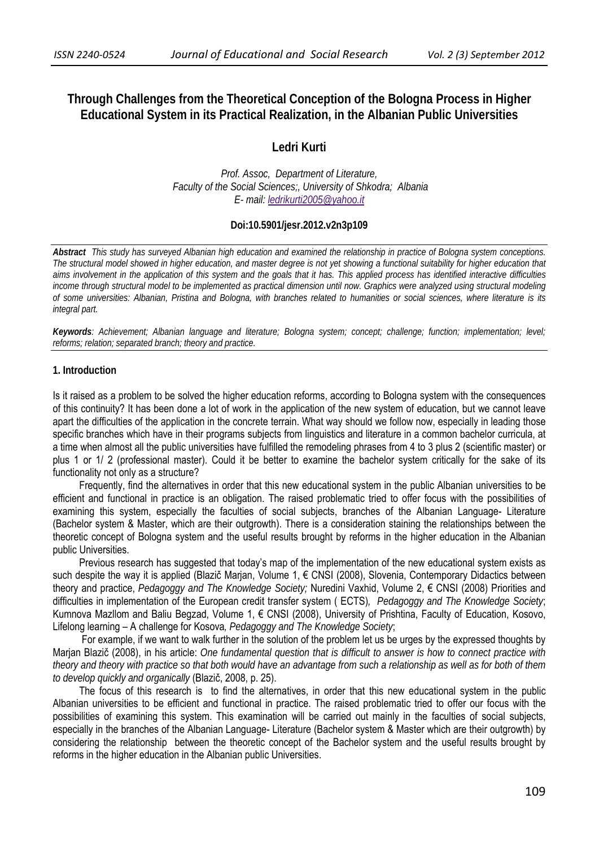# **Through Challenges from the Theoretical Conception of the Bologna Process in Higher Educational System in its Practical Realization, in the Albanian Public Universities**

**Ledri Kurti** 

*Prof. Assoc, Department of Literature, Faculty of the Social Sciences;, University of Shkodra; Albania E- mail: ledrikurti2005@yahoo.it*

## **Doi:10.5901/jesr.2012.v2n3p109**

*Abstract This study has surveyed Albanian high education and examined the relationship in practice of Bologna system conceptions. The structural model showed in higher education, and master degree is not yet showing a functional suitability for higher education that aims involvement in the application of this system and the goals that it has. This applied process has identified interactive difficulties income through structural model to be implemented as practical dimension until now. Graphics were analyzed using structural modeling of some universities: Albanian, Pristina and Bologna, with branches related to humanities or social sciences, where literature is its integral part.* 

*Keywords: Achievement; Albanian language and literature; Bologna system; concept; challenge; function; implementation; level; reforms; relation; separated branch; theory and practice.*

### **1. Introduction**

Is it raised as a problem to be solved the higher education reforms, according to Bologna system with the consequences of this continuity? It has been done a lot of work in the application of the new system of education, but we cannot leave apart the difficulties of the application in the concrete terrain. What way should we follow now, especially in leading those specific branches which have in their programs subjects from linguistics and literature in a common bachelor curricula, at a time when almost all the public universities have fulfilled the remodeling phrases from 4 to 3 plus 2 (scientific master) or plus 1 or 1/ 2 (professional master). Could it be better to examine the bachelor system critically for the sake of its functionality not only as a structure?

Frequently, find the alternatives in order that this new educational system in the public Albanian universities to be efficient and functional in practice is an obligation. The raised problematic tried to offer focus with the possibilities of examining this system, especially the faculties of social subjects, branches of the Albanian Language- Literature (Bachelor system & Master, which are their outgrowth). There is a consideration staining the relationships between the theoretic concept of Bologna system and the useful results brought by reforms in the higher education in the Albanian public Universities.

Previous research has suggested that today's map of the implementation of the new educational system exists as such despite the way it is applied (Blazič Marjan, Volume 1, € CNSI (2008), Slovenia, Contemporary Didactics between theory and practice, *Pedagoggy and The Knowledge Society;* Nuredini Vaxhid, Volume 2, € CNSI (2008) Priorities and difficulties in implementation of the European credit transfer system ( ECTS)*, Pedagoggy and The Knowledge Society*; Kumnova Mazllom and Baliu Begzad, Volume 1, € CNSI (2008), University of Prishtina, Faculty of Education, Kosovo, Lifelong learning – A challenge for Kosova*, Pedagoggy and The Knowledge Society*;

For example, if we want to walk further in the solution of the problem let us be urges by the expressed thoughts by Marjan Blazič (2008), in his article: *One fundamental question that is difficult to answer is how to connect practice with theory and theory with practice so that both would have an advantage from such a relationship as well as for both of them to develop quickly and organically* (Blazič, 2008, p. 25).

The focus of this research is to find the alternatives, in order that this new educational system in the public Albanian universities to be efficient and functional in practice. The raised problematic tried to offer our focus with the possibilities of examining this system. This examination will be carried out mainly in the faculties of social subjects, especially in the branches of the Albanian Language- Literature (Bachelor system & Master which are their outgrowth) by considering the relationship between the theoretic concept of the Bachelor system and the useful results brought by reforms in the higher education in the Albanian public Universities.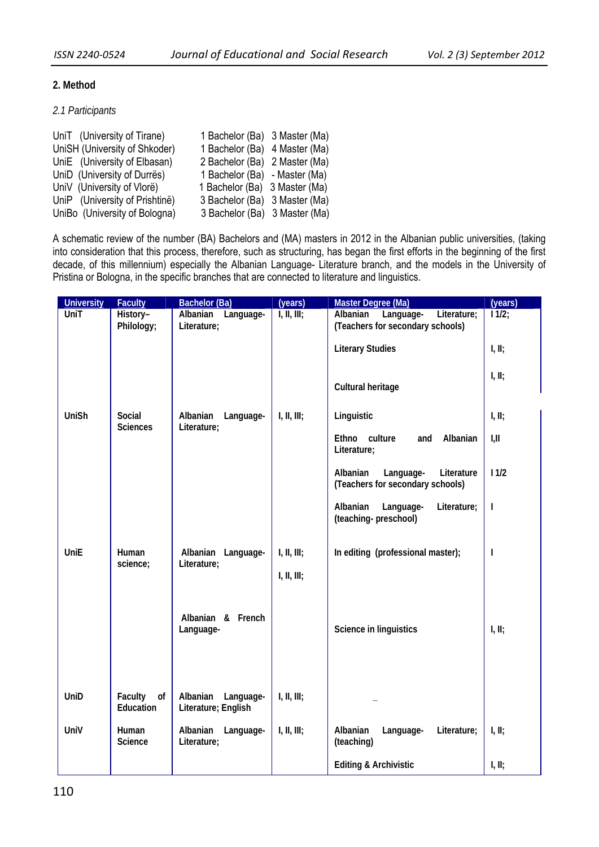# **2. Method**

# *2.1 Participants*

| UniT (University of Tirane)    | 1 Bachelor (Ba) 3 Master (Ma) |  |
|--------------------------------|-------------------------------|--|
| UniSH (University of Shkoder)  | 1 Bachelor (Ba) 4 Master (Ma) |  |
| UniE (University of Elbasan)   | 2 Bachelor (Ba) 2 Master (Ma) |  |
| UniD (University of Durrës)    | 1 Bachelor (Ba) - Master (Ma) |  |
| UniV (University of Vlorë)     | 1 Bachelor (Ba) 3 Master (Ma) |  |
| UniP (University of Prishtine) | 3 Bachelor (Ba) 3 Master (Ma) |  |
| UniBo (University of Bologna)  | 3 Bachelor (Ba) 3 Master (Ma) |  |

A schematic review of the number (BA) Bachelors and (MA) masters in 2012 in the Albanian public universities, (taking into consideration that this process, therefore, such as structuring, has began the first efforts in the beginning of the first decade, of this millennium) especially the Albanian Language- Literature branch, and the models in the University of Pristina or Bologna, in the specific branches that are connected to literature and linguistics.

| <b>University</b> | <b>Faculty</b>             | Bachelor (Ba)                                | (years)                    | Master Degree (Ma)                                                       | (years)  |
|-------------------|----------------------------|----------------------------------------------|----------------------------|--------------------------------------------------------------------------|----------|
| UniT              | History-<br>Philology;     | Albanian<br>Language-<br>Literature;         | I, II, III;                | Literature;<br>Language-<br>Albanian<br>(Teachers for secondary schools) | $11/2$ ; |
|                   |                            |                                              |                            | <b>Literary Studies</b>                                                  | I, II;   |
|                   |                            |                                              |                            | Cultural heritage                                                        | I, II;   |
| UniSh             | Social<br><b>Sciences</b>  | Albanian<br>Language-<br>Literature;         | I, II, III;                | Linguistic                                                               | I, II;   |
|                   |                            |                                              |                            | Ethno culture<br>Albanian<br>and<br>Literature;                          | I, II    |
|                   |                            |                                              |                            | Literature<br>Albanian<br>Language-<br>(Teachers for secondary schools)  | 11/2     |
|                   |                            |                                              |                            | Albanian<br>Language-<br>Literature;<br>(teaching-preschool)             | I        |
| <b>UniE</b>       | Human<br>science;          | Albanian Language-<br>Literature;            | I, II, III;<br>I, II, III; | In editing (professional master);                                        | I        |
|                   |                            | Albanian & French<br>Language-               |                            | Science in linguistics                                                   | I, II;   |
| UniD              | Faculty<br>of<br>Education | Albanian<br>Language-<br>Literature; English | I, II, III;                |                                                                          |          |
| UniV              | Human<br>Science           | Albanian<br>Language-<br>Literature;         | I, II, III;                | Albanian<br>Language-<br>Literature;<br>(teaching)                       | I, II;   |
|                   |                            |                                              |                            | <b>Editing &amp; Archivistic</b>                                         | I, II;   |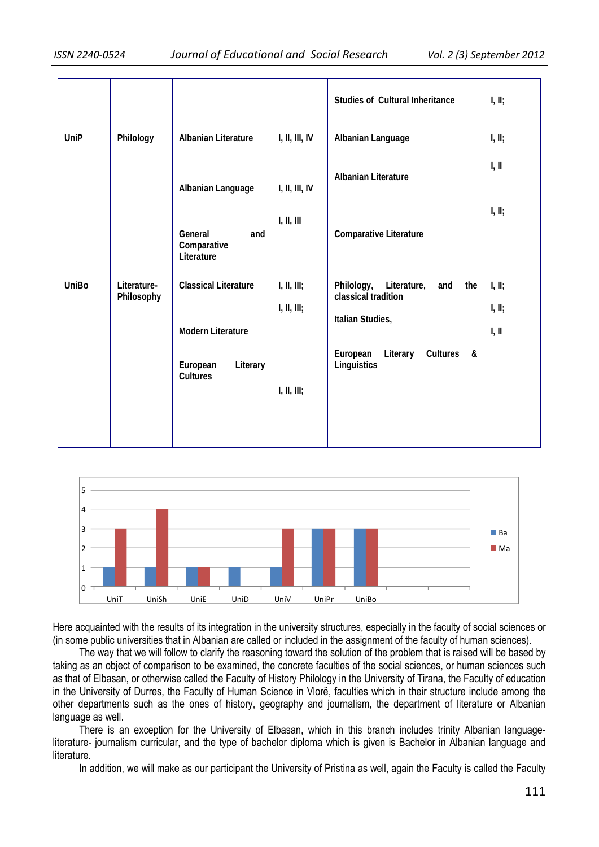|              |                           |                                                         |                            | <b>Studies of Cultural Inheritance</b>                                             | I, II;                    |
|--------------|---------------------------|---------------------------------------------------------|----------------------------|------------------------------------------------------------------------------------|---------------------------|
| UniP         | Philology                 | <b>Albanian Literature</b>                              | I, II, III, IV             | Albanian Language                                                                  | I, II;                    |
|              |                           | Albanian Language                                       | I, II, III, IV             | <b>Albanian Literature</b>                                                         | I, II                     |
|              |                           | General<br>and<br>Comparative<br>Literature             | I, II, III                 | Comparative Literature                                                             | I, II;                    |
| <b>UniBo</b> | Literature-<br>Philosophy | <b>Classical Literature</b><br><b>Modern Literature</b> | I, II, III;<br>I, II, III; | Philology,<br>Literature,<br>and<br>the<br>classical tradition<br>Italian Studies, | I, II;<br>I, II;<br>I, II |
|              |                           | European<br>Literary<br><b>Cultures</b>                 | I, II, III;                | European<br>Literary<br>Cultures<br>&<br>Linguistics                               |                           |



Here acquainted with the results of its integration in the university structures, especially in the faculty of social sciences or (in some public universities that in Albanian are called or included in the assignment of the faculty of human sciences).

The way that we will follow to clarify the reasoning toward the solution of the problem that is raised will be based by taking as an object of comparison to be examined, the concrete faculties of the social sciences, or human sciences such as that of Elbasan, or otherwise called the Faculty of History Philology in the University of Tirana, the Faculty of education in the University of Durres, the Faculty of Human Science in Vlorë, faculties which in their structure include among the other departments such as the ones of history, geography and journalism, the department of literature or Albanian language as well.

There is an exception for the University of Elbasan, which in this branch includes trinity Albanian languageliterature- journalism curricular, and the type of bachelor diploma which is given is Bachelor in Albanian language and literature.

In addition, we will make as our participant the University of Pristina as well, again the Faculty is called the Faculty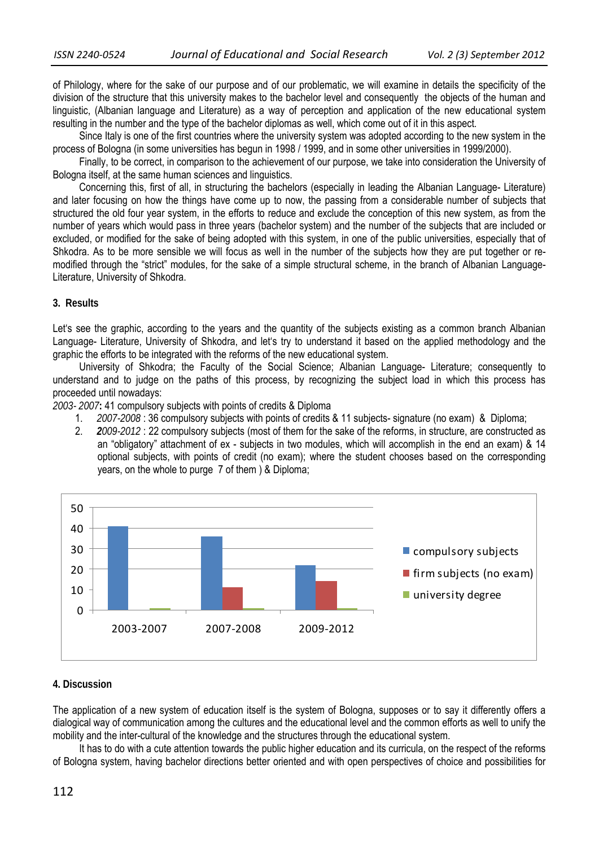of Philology, where for the sake of our purpose and of our problematic, we will examine in details the specificity of the division of the structure that this university makes to the bachelor level and consequently the objects of the human and linguistic, (Albanian language and Literature) as a way of perception and application of the new educational system resulting in the number and the type of the bachelor diplomas as well, which come out of it in this aspect.

Since Italy is one of the first countries where the university system was adopted according to the new system in the process of Bologna (in some universities has begun in 1998 / 1999, and in some other universities in 1999/2000).

Finally, to be correct, in comparison to the achievement of our purpose, we take into consideration the University of Bologna itself, at the same human sciences and linguistics.

Concerning this, first of all, in structuring the bachelors (especially in leading the Albanian Language- Literature) and later focusing on how the things have come up to now, the passing from a considerable number of subjects that structured the old four year system, in the efforts to reduce and exclude the conception of this new system, as from the number of years which would pass in three years (bachelor system) and the number of the subjects that are included or excluded, or modified for the sake of being adopted with this system, in one of the public universities, especially that of Shkodra. As to be more sensible we will focus as well in the number of the subjects how they are put together or remodified through the "strict" modules, for the sake of a simple structural scheme, in the branch of Albanian Language-Literature, University of Shkodra.

## **3. Results**

Let's see the graphic, according to the years and the quantity of the subjects existing as a common branch Albanian Language- Literature, University of Shkodra, and let's try to understand it based on the applied methodology and the graphic the efforts to be integrated with the reforms of the new educational system.

University of Shkodra; the Faculty of the Social Science; Albanian Language- Literature; consequently to understand and to judge on the paths of this process, by recognizing the subject load in which this process has proceeded until nowadays:

*2003- 2007***:** 41 compulsory subjects with points of credits & Diploma

- 1. *2007-2008* : 36 compulsory subjects with points of credits & 11 subjects- signature (no exam) & Diploma;
- 2. *2009-2012* : 22 compulsory subjects (most of them for the sake of the reforms, in structure, are constructed as an "obligatory" attachment of ex - subjects in two modules, which will accomplish in the end an exam) & 14 optional subjects, with points of credit (no exam); where the student chooses based on the corresponding years, on the whole to purge 7 of them ) & Diploma;



## **4. Discussion**

The application of a new system of education itself is the system of Bologna, supposes or to say it differently offers a dialogical way of communication among the cultures and the educational level and the common efforts as well to unify the mobility and the inter-cultural of the knowledge and the structures through the educational system.

It has to do with a cute attention towards the public higher education and its curricula, on the respect of the reforms of Bologna system, having bachelor directions better oriented and with open perspectives of choice and possibilities for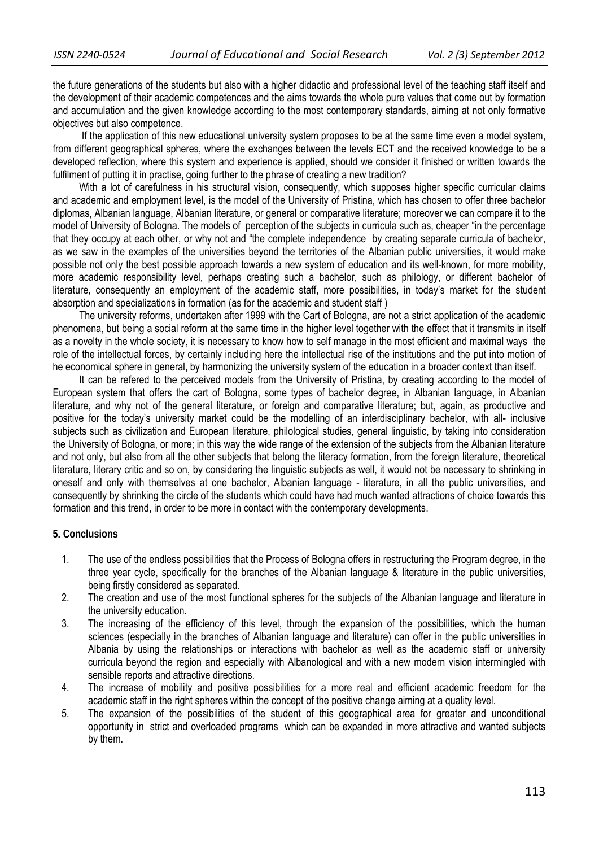the future generations of the students but also with a higher didactic and professional level of the teaching staff itself and the development of their academic competences and the aims towards the whole pure values that come out by formation and accumulation and the given knowledge according to the most contemporary standards, aiming at not only formative objectives but also competence.

 If the application of this new educational university system proposes to be at the same time even a model system, from different geographical spheres, where the exchanges between the levels ECT and the received knowledge to be a developed reflection, where this system and experience is applied, should we consider it finished or written towards the fulfilment of putting it in practise, going further to the phrase of creating a new tradition?

With a lot of carefulness in his structural vision, consequently, which supposes higher specific curricular claims and academic and employment level, is the model of the University of Pristina, which has chosen to offer three bachelor diplomas, Albanian language, Albanian literature, or general or comparative literature; moreover we can compare it to the model of University of Bologna. The models of perception of the subjects in curricula such as, cheaper "in the percentage that they occupy at each other, or why not and "the complete independence by creating separate curricula of bachelor, as we saw in the examples of the universities beyond the territories of the Albanian public universities, it would make possible not only the best possible approach towards a new system of education and its well-known, for more mobility, more academic responsibility level, perhaps creating such a bachelor, such as philology, or different bachelor of literature, consequently an employment of the academic staff, more possibilities, in today's market for the student absorption and specializations in formation (as for the academic and student staff )

The university reforms, undertaken after 1999 with the Cart of Bologna, are not a strict application of the academic phenomena, but being a social reform at the same time in the higher level together with the effect that it transmits in itself as a novelty in the whole society, it is necessary to know how to self manage in the most efficient and maximal ways the role of the intellectual forces, by certainly including here the intellectual rise of the institutions and the put into motion of he economical sphere in general, by harmonizing the university system of the education in a broader context than itself.

It can be refered to the perceived models from the University of Pristina, by creating according to the model of European system that offers the cart of Bologna, some types of bachelor degree, in Albanian language, in Albanian literature, and why not of the general literature, or foreign and comparative literature; but, again, as productive and positive for the today's university market could be the modelling of an interdisciplinary bachelor, with all- inclusive subjects such as civilization and European literature, philological studies, general linguistic, by taking into consideration the University of Bologna, or more; in this way the wide range of the extension of the subjects from the Albanian literature and not only, but also from all the other subjects that belong the literacy formation, from the foreign literature, theoretical literature, literary critic and so on, by considering the linguistic subjects as well, it would not be necessary to shrinking in oneself and only with themselves at one bachelor, Albanian language - literature, in all the public universities, and consequently by shrinking the circle of the students which could have had much wanted attractions of choice towards this formation and this trend, in order to be more in contact with the contemporary developments.

### **5. Conclusions**

- 1. The use of the endless possibilities that the Process of Bologna offers in restructuring the Program degree, in the three year cycle, specifically for the branches of the Albanian language & literature in the public universities, being firstly considered as separated.
- 2. The creation and use of the most functional spheres for the subjects of the Albanian language and literature in the university education.
- 3. The increasing of the efficiency of this level, through the expansion of the possibilities, which the human sciences (especially in the branches of Albanian language and literature) can offer in the public universities in Albania by using the relationships or interactions with bachelor as well as the academic staff or university curricula beyond the region and especially with Albanological and with a new modern vision intermingled with sensible reports and attractive directions.
- 4. The increase of mobility and positive possibilities for a more real and efficient academic freedom for the academic staff in the right spheres within the concept of the positive change aiming at a quality level.
- 5. The expansion of the possibilities of the student of this geographical area for greater and unconditional opportunity in strict and overloaded programs which can be expanded in more attractive and wanted subjects by them.